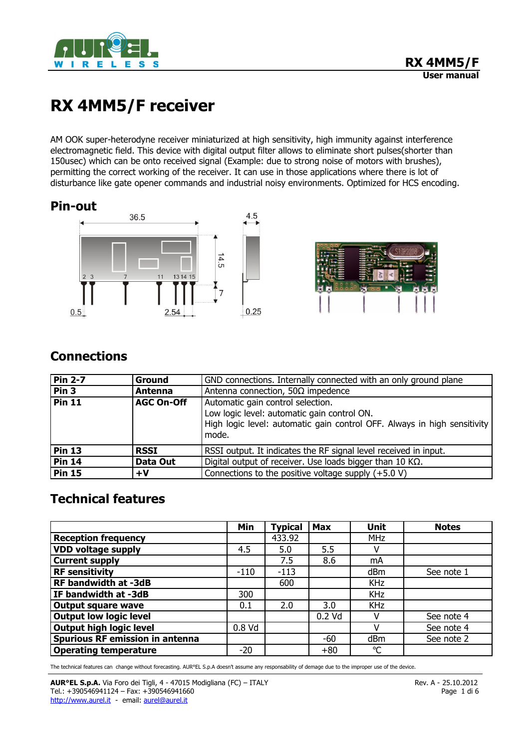

# **RX 4MM5/F receiver**

AM OOK super-heterodyne receiver miniaturized at high sensitivity, high immunity against interference electromagnetic field. This device with digital output filter allows to eliminate short pulses(shorter than 150usec) which can be onto received signal (Example: due to strong noise of motors with brushes), permitting the correct working of the receiver. It can use in those applications where there is lot of disturbance like gate opener commands and industrial noisy environments. Optimized for HCS encoding.

## **Pin-out**





# **Connections**

| <b>Pin 2-7</b>   | Ground            | GND connections. Internally connected with an only ground plane                                                                  |  |  |
|------------------|-------------------|----------------------------------------------------------------------------------------------------------------------------------|--|--|
| Pin <sub>3</sub> | Antenna           | Antenna connection, 50 $\Omega$ impedence                                                                                        |  |  |
| <b>Pin 11</b>    | <b>AGC On-Off</b> | Automatic gain control selection.                                                                                                |  |  |
|                  |                   | Low logic level: automatic gain control ON.<br>High logic level: automatic gain control OFF. Always in high sensitivity<br>mode. |  |  |
| <b>Pin 13</b>    | <b>RSSI</b>       | RSSI output. It indicates the RF signal level received in input.                                                                 |  |  |
| <b>Pin 14</b>    | Data Out          | Digital output of receiver. Use loads bigger than 10 K $\Omega$ .                                                                |  |  |
| <b>Pin 15</b>    | +V                | Connections to the positive voltage supply $(+5.0 V)$                                                                            |  |  |

# **Technical features**

|                                        | Min    | <b>Typical</b> | <b>Max</b> | <b>Unit</b>  | <b>Notes</b> |
|----------------------------------------|--------|----------------|------------|--------------|--------------|
| <b>Reception frequency</b>             |        | 433.92         |            | <b>MHz</b>   |              |
| <b>VDD voltage supply</b>              | 4.5    | 5.0            | 5.5        |              |              |
| <b>Current supply</b>                  |        | 7.5            | 8.6        | mA           |              |
| <b>RF sensitivity</b>                  | $-110$ | $-113$         |            | dBm          | See note 1   |
| RF bandwidth at -3dB                   |        | 600            |            | <b>KHz</b>   |              |
| IF bandwidth at -3dB                   | 300    |                |            | <b>KHz</b>   |              |
| <b>Output square wave</b>              | 0.1    | 2.0            | 3.0        | <b>KHz</b>   |              |
| <b>Output low logic level</b>          |        |                | $0.2$ Vd   |              | See note 4   |
| Output high logic level                | 0.8 Vd |                |            |              | See note 4   |
| <b>Spurious RF emission in antenna</b> |        |                | -60        | dBm          | See note 2   |
| <b>Operating temperature</b>           | $-20$  |                | $+80$      | $\mathrm{C}$ |              |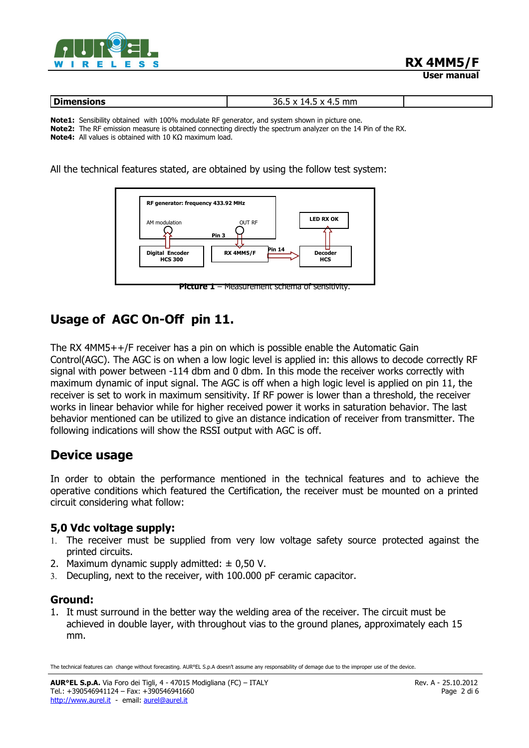

| Dim<br>----<br>ыы<br>VIIJ | ----<br>mm.<br>30.J<br>$\lambda$<br>.<br>. . |  |
|---------------------------|----------------------------------------------|--|

**Note1:** Sensibility obtained with 100% modulate RF generator, and system shown in picture one. **Note2:** The RF emission measure is obtained connecting directly the spectrum analyzer on the 14 Pin of the RX. **Note4:** All values is obtained with 10 KΩ maximum load.

All the technical features stated, are obtained by using the follow test system:



# **Usage of AGC On-Off pin 11.**

The RX 4MM5++/F receiver has a pin on which is possible enable the Automatic Gain Control(AGC). The AGC is on when a low logic level is applied in: this allows to decode correctly RF signal with power between -114 dbm and 0 dbm. In this mode the receiver works correctly with maximum dynamic of input signal. The AGC is off when a high logic level is applied on pin 11, the receiver is set to work in maximum sensitivity. If RF power is lower than a threshold, the receiver works in linear behavior while for higher received power it works in saturation behavior. The last behavior mentioned can be utilized to give an distance indication of receiver from transmitter. The following indications will show the RSSI output with AGC is off.

# **Device usage**

In order to obtain the performance mentioned in the technical features and to achieve the operative conditions which featured the Certification, the receiver must be mounted on a printed circuit considering what follow:

### **5,0 Vdc voltage supply:**

- 1. The receiver must be supplied from very low voltage safety source protected against the printed circuits.
- 2. Maximum dynamic supply admitted:  $\pm$  0,50 V.
- 3. Decupling, next to the receiver, with 100.000 pF ceramic capacitor.

### **Ground:**

1. It must surround in the better way the welding area of the receiver. The circuit must be achieved in double layer, with throughout vias to the ground planes, approximately each 15 mm.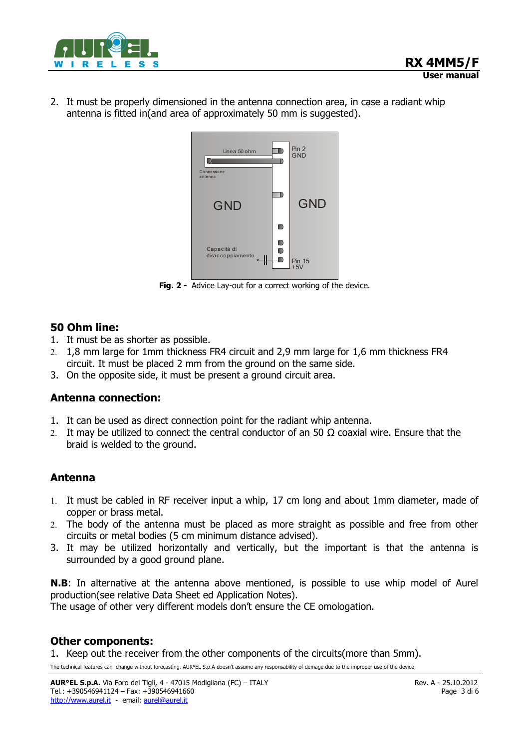

2. It must be properly dimensioned in the antenna connection area, in case a radiant whip antenna is fitted in(and area of approximately 50 mm is suggested).



**Fig. 2 -** Advice Lay-out for a correct working of the device.

#### **50 Ohm line:**

- 1. It must be as shorter as possible.
- 2. 1,8 mm large for 1mm thickness FR4 circuit and 2,9 mm large for 1,6 mm thickness FR4 circuit. It must be placed 2 mm from the ground on the same side.
- 3. On the opposite side, it must be present a ground circuit area.

### **Antenna connection:**

- 1. It can be used as direct connection point for the radiant whip antenna.
- 2. It may be utilized to connect the central conductor of an 50  $\Omega$  coaxial wire. Ensure that the braid is welded to the ground.

### **Antenna**

- 1. It must be cabled in RF receiver input a whip, 17 cm long and about 1mm diameter, made of copper or brass metal.
- 2. The body of the antenna must be placed as more straight as possible and free from other circuits or metal bodies (5 cm minimum distance advised).
- 3. It may be utilized horizontally and vertically, but the important is that the antenna is surrounded by a good ground plane.

**N.B**: In alternative at the antenna above mentioned, is possible to use whip model of Aurel production(see relative Data Sheet ed Application Notes).

The usage of other very different models don't ensure the CE omologation.

#### **Other components:**

1. Keep out the receiver from the other components of the circuits(more than 5mm).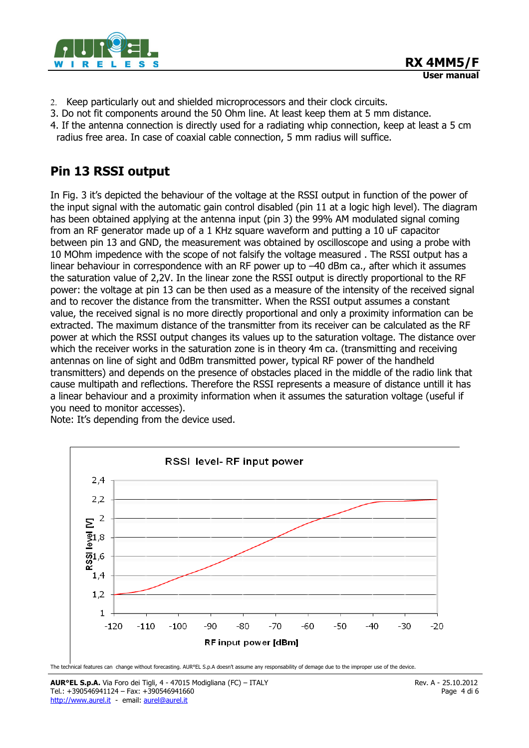

- 2. Keep particularly out and shielded microprocessors and their clock circuits.
- 3. Do not fit components around the 50 Ohm line. At least keep them at 5 mm distance.
- 4. If the antenna connection is directly used for a radiating whip connection, keep at least a 5 cm radius free area. In case of coaxial cable connection, 5 mm radius will suffice.

# **Pin 13 RSSI output**

In Fig. 3 it's depicted the behaviour of the voltage at the RSSI output in function of the power of the input signal with the automatic gain control disabled (pin 11 at a logic high level). The diagram has been obtained applying at the antenna input (pin 3) the 99% AM modulated signal coming from an RF generator made up of a 1 KHz square waveform and putting a 10 uF capacitor between pin 13 and GND, the measurement was obtained by oscilloscope and using a probe with 10 MOhm impedence with the scope of not falsify the voltage measured . The RSSI output has a linear behaviour in correspondence with an RF power up to -40 dBm ca., after which it assumes the saturation value of 2,2V. In the linear zone the RSSI output is directly proportional to the RF power: the voltage at pin 13 can be then used as a measure of the intensity of the received signal and to recover the distance from the transmitter. When the RSSI output assumes a constant value, the received signal is no more directly proportional and only a proximity information can be extracted. The maximum distance of the transmitter from its receiver can be calculated as the RF power at which the RSSI output changes its values up to the saturation voltage. The distance over which the receiver works in the saturation zone is in theory 4m ca. (transmitting and receiving antennas on line of sight and 0dBm transmitted power, typical RF power of the handheld transmitters) and depends on the presence of obstacles placed in the middle of the radio link that cause multipath and reflections. Therefore the RSSI represents a measure of distance untill it has a linear behaviour and a proximity information when it assumes the saturation voltage (useful if you need to monitor accesses).

Note: It's depending from the device used.